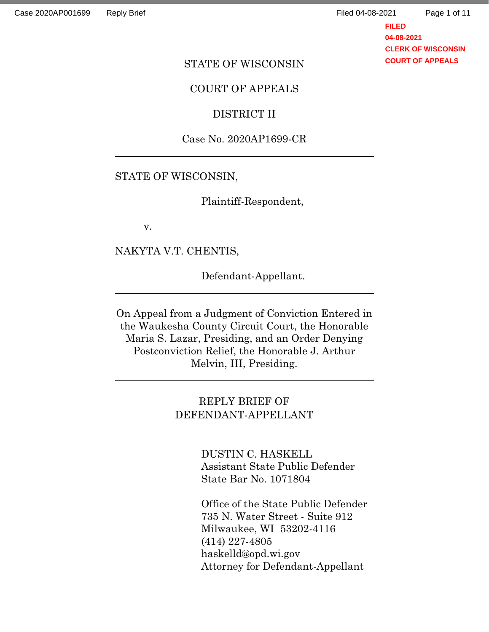**FILED 04-08-2021 CLERK OF WISCONSIN COURT OF APPEALS**

#### STATE OF WISCONSIN

### COURT OF APPEALS

#### DISTRICT II

## Case No. 2020AP1699-CR

### STATE OF WISCONSIN,

Plaintiff-Respondent,

v.

NAKYTA V.T. CHENTIS,

Defendant-Appellant.

On Appeal from a Judgment of Conviction Entered in the Waukesha County Circuit Court, the Honorable Maria S. Lazar, Presiding, and an Order Denying Postconviction Relief, the Honorable J. Arthur Melvin, III, Presiding.

## REPLY BRIEF OF DEFENDANT-APPELLANT

DUSTIN C. HASKELL Assistant State Public Defender State Bar No. 1071804

Office of the State Public Defender 735 N. Water Street - Suite 912 Milwaukee, WI 53202-4116 (414) 227-4805 haskelld@opd.wi.gov Attorney for Defendant-Appellant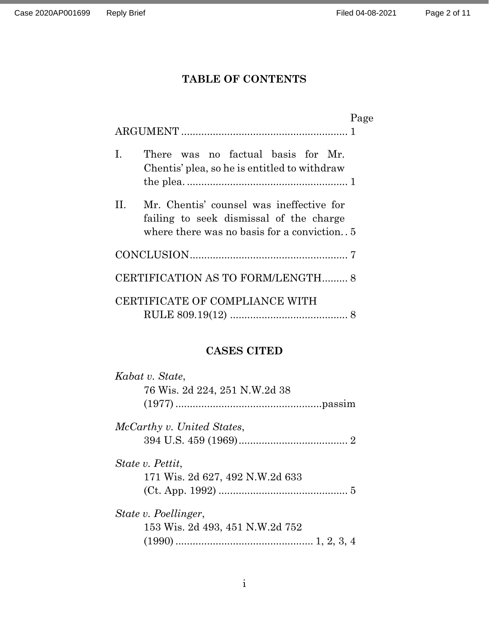# **TABLE OF CONTENTS**

|    |                                                                                                                                  | Page |
|----|----------------------------------------------------------------------------------------------------------------------------------|------|
| L. | There was no factual basis for Mr.<br>Chentis' plea, so he is entitled to withdraw                                               |      |
| Н. | Mr. Chentis' counsel was ineffective for<br>failing to seek dismissal of the charge<br>where there was no basis for a conviction |      |
|    |                                                                                                                                  |      |
|    | CERTIFICATION AS TO FORM/LENGTH 8                                                                                                |      |
|    | CERTIFICATE OF COMPLIANCE WITH                                                                                                   |      |

## **CASES CITED**

| Kabat v. State,                 |  |
|---------------------------------|--|
| 76 Wis. 2d 224, 251 N.W.2d 38   |  |
|                                 |  |
| McCarthy v. United States,      |  |
|                                 |  |
| State v. Pettit,                |  |
| 171 Wis. 2d 627, 492 N.W.2d 633 |  |
|                                 |  |
| State v. Poellinger,            |  |
| 153 Wis. 2d 493, 451 N.W.2d 752 |  |
|                                 |  |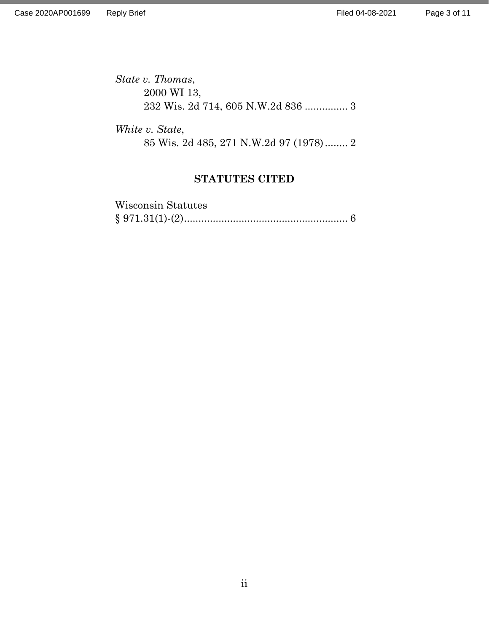*State v. Thomas*, 2000 WI 13, 232 Wis. 2d 714, 605 N.W.2d 836 ............... 3

*White v. State*, 85 Wis. 2d 485, 271 N.W.2d 97 (1978)........ 2

## **STATUTES CITED**

| Wisconsin Statutes |  |
|--------------------|--|
|                    |  |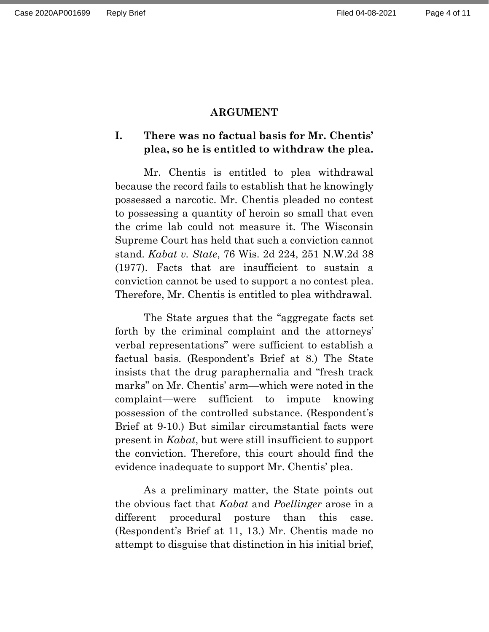#### **ARGUMENT**

## **I. There was no factual basis for Mr. Chentis' plea, so he is entitled to withdraw the plea.**

Mr. Chentis is entitled to plea withdrawal because the record fails to establish that he knowingly possessed a narcotic. Mr. Chentis pleaded no contest to possessing a quantity of heroin so small that even the crime lab could not measure it. The Wisconsin Supreme Court has held that such a conviction cannot stand. *Kabat v. State*, 76 Wis. 2d 224, 251 N.W.2d 38 (1977). Facts that are insufficient to sustain a conviction cannot be used to support a no contest plea. Therefore, Mr. Chentis is entitled to plea withdrawal.

The State argues that the "aggregate facts set forth by the criminal complaint and the attorneys' verbal representations" were sufficient to establish a factual basis. (Respondent's Brief at 8.) The State insists that the drug paraphernalia and "fresh track marks" on Mr. Chentis' arm—which were noted in the complaint—were sufficient to impute knowing possession of the controlled substance. (Respondent's Brief at 9-10.) But similar circumstantial facts were present in *Kabat*, but were still insufficient to support the conviction. Therefore, this court should find the evidence inadequate to support Mr. Chentis' plea.

As a preliminary matter, the State points out the obvious fact that *Kabat* and *Poellinger* arose in a different procedural posture than this case. (Respondent's Brief at 11, 13.) Mr. Chentis made no attempt to disguise that distinction in his initial brief,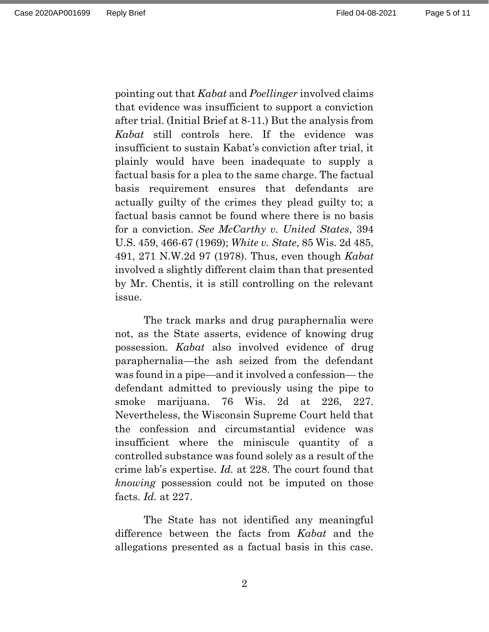pointing out that *Kabat* and *Poellinger* involved claims that evidence was insufficient to support a conviction after trial. (Initial Brief at 8-11.) But the analysis from *Kabat* still controls here. If the evidence was insufficient to sustain Kabat's conviction after trial, it plainly would have been inadequate to supply a factual basis for a plea to the same charge. The factual basis requirement ensures that defendants are actually guilty of the crimes they plead guilty to; a factual basis cannot be found where there is no basis for a conviction. *See McCarthy v. United States*, 394 U.S. 459, 466-67 (1969); *White v. State*, 85 Wis. 2d 485, 491, 271 N.W.2d 97 (1978). Thus, even though *Kabat* involved a slightly different claim than that presented by Mr. Chentis, it is still controlling on the relevant issue.

The track marks and drug paraphernalia were not, as the State asserts, evidence of knowing drug possession. *Kabat* also involved evidence of drug paraphernalia—the ash seized from the defendant was found in a pipe—and it involved a confession— the defendant admitted to previously using the pipe to smoke marijuana. 76 Wis. 2d at 226, 227. Nevertheless, the Wisconsin Supreme Court held that the confession and circumstantial evidence was insufficient where the miniscule quantity of a controlled substance was found solely as a result of the crime lab's expertise. *Id.* at 228. The court found that *knowing* possession could not be imputed on those facts. *Id.* at 227.

The State has not identified any meaningful difference between the facts from *Kabat* and the allegations presented as a factual basis in this case.

2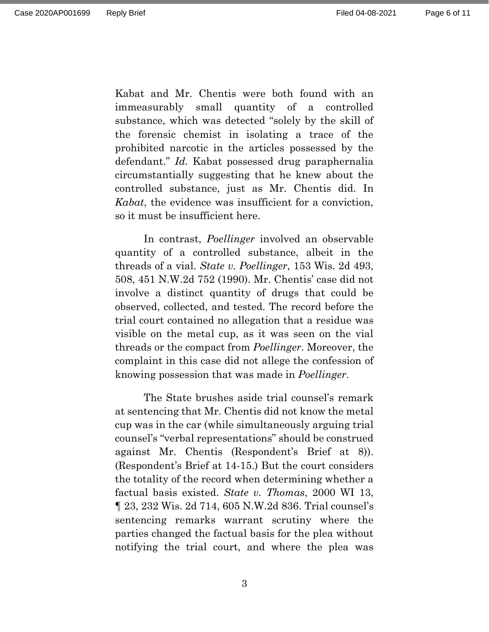Kabat and Mr. Chentis were both found with an immeasurably small quantity of a controlled substance, which was detected "solely by the skill of the forensic chemist in isolating a trace of the prohibited narcotic in the articles possessed by the defendant." *Id.* Kabat possessed drug paraphernalia circumstantially suggesting that he knew about the controlled substance, just as Mr. Chentis did. In *Kabat*, the evidence was insufficient for a conviction, so it must be insufficient here.

In contrast, *Poellinger* involved an observable quantity of a controlled substance, albeit in the threads of a vial. *State v. Poellinger*, 153 Wis. 2d 493, 508, 451 N.W.2d 752 (1990). Mr. Chentis' case did not involve a distinct quantity of drugs that could be observed, collected, and tested. The record before the trial court contained no allegation that a residue was visible on the metal cup, as it was seen on the vial threads or the compact from *Poellinger*. Moreover, the complaint in this case did not allege the confession of knowing possession that was made in *Poellinger*.

The State brushes aside trial counsel's remark at sentencing that Mr. Chentis did not know the metal cup was in the car (while simultaneously arguing trial counsel's "verbal representations" should be construed against Mr. Chentis (Respondent's Brief at 8)). (Respondent's Brief at 14-15.) But the court considers the totality of the record when determining whether a factual basis existed. *State v. Thomas*, 2000 WI 13, ¶ 23, 232 Wis. 2d 714, 605 N.W.2d 836. Trial counsel's sentencing remarks warrant scrutiny where the parties changed the factual basis for the plea without notifying the trial court, and where the plea was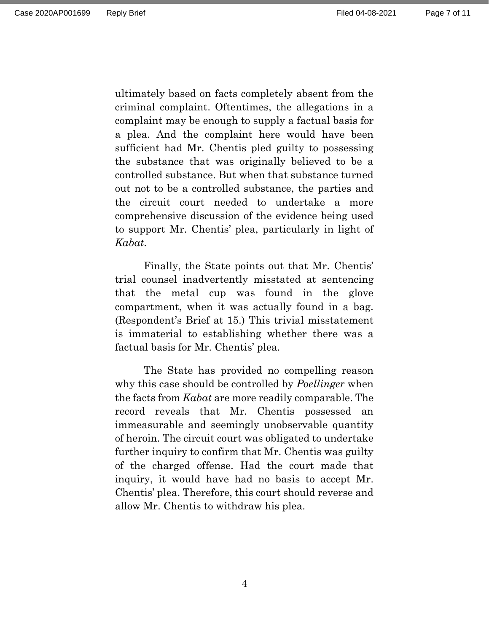ultimately based on facts completely absent from the criminal complaint. Oftentimes, the allegations in a complaint may be enough to supply a factual basis for a plea. And the complaint here would have been sufficient had Mr. Chentis pled guilty to possessing the substance that was originally believed to be a controlled substance. But when that substance turned out not to be a controlled substance, the parties and the circuit court needed to undertake a more comprehensive discussion of the evidence being used to support Mr. Chentis' plea, particularly in light of *Kabat*.

Finally, the State points out that Mr. Chentis' trial counsel inadvertently misstated at sentencing that the metal cup was found in the glove compartment, when it was actually found in a bag. (Respondent's Brief at 15.) This trivial misstatement is immaterial to establishing whether there was a factual basis for Mr. Chentis' plea.

The State has provided no compelling reason why this case should be controlled by *Poellinger* when the facts from *Kabat* are more readily comparable. The record reveals that Mr. Chentis possessed an immeasurable and seemingly unobservable quantity of heroin. The circuit court was obligated to undertake further inquiry to confirm that Mr. Chentis was guilty of the charged offense. Had the court made that inquiry, it would have had no basis to accept Mr. Chentis' plea. Therefore, this court should reverse and allow Mr. Chentis to withdraw his plea.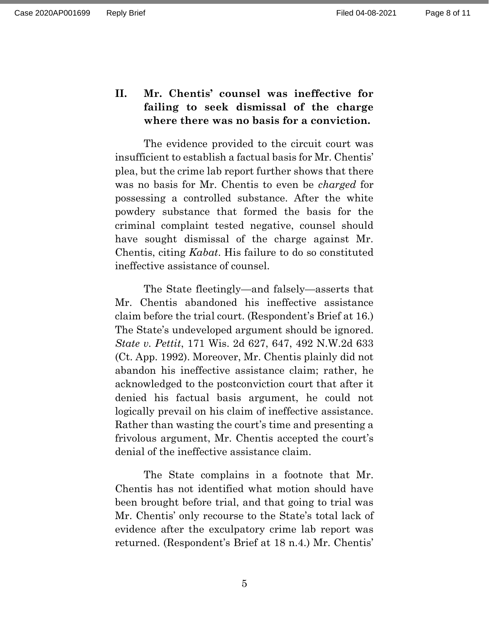## **II. Mr. Chentis' counsel was ineffective for failing to seek dismissal of the charge where there was no basis for a conviction.**

The evidence provided to the circuit court was insufficient to establish a factual basis for Mr. Chentis' plea, but the crime lab report further shows that there was no basis for Mr. Chentis to even be *charged* for possessing a controlled substance. After the white powdery substance that formed the basis for the criminal complaint tested negative, counsel should have sought dismissal of the charge against Mr. Chentis, citing *Kabat*. His failure to do so constituted ineffective assistance of counsel.

The State fleetingly—and falsely—asserts that Mr. Chentis abandoned his ineffective assistance claim before the trial court. (Respondent's Brief at 16.) The State's undeveloped argument should be ignored. *State v. Pettit*, 171 Wis. 2d 627, 647, 492 N.W.2d 633 (Ct. App. 1992). Moreover, Mr. Chentis plainly did not abandon his ineffective assistance claim; rather, he acknowledged to the postconviction court that after it denied his factual basis argument, he could not logically prevail on his claim of ineffective assistance. Rather than wasting the court's time and presenting a frivolous argument, Mr. Chentis accepted the court's denial of the ineffective assistance claim.

The State complains in a footnote that Mr. Chentis has not identified what motion should have been brought before trial, and that going to trial was Mr. Chentis' only recourse to the State's total lack of evidence after the exculpatory crime lab report was returned. (Respondent's Brief at 18 n.4.) Mr. Chentis'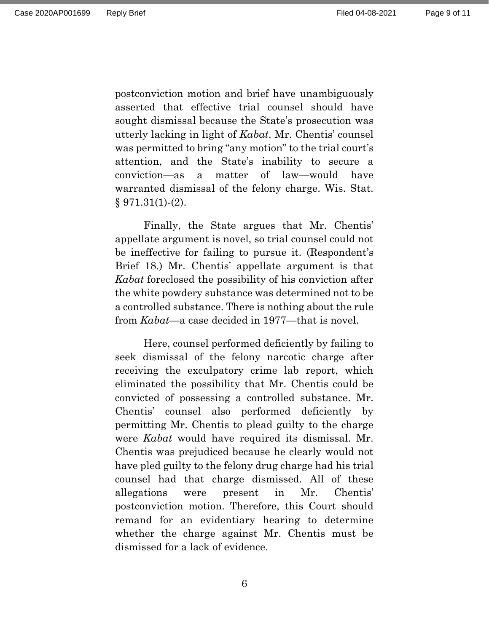postconviction motion and brief have unambiguously asserted that effective trial counsel should have sought dismissal because the State's prosecution was utterly lacking in light of *Kabat*. Mr. Chentis' counsel was permitted to bring "any motion" to the trial court's attention, and the State's inability to secure a conviction—as a matter of law—would have warranted dismissal of the felony charge. Wis. Stat.  $§ 971.31(1)-(2).$ 

Finally, the State argues that Mr. Chentis' appellate argument is novel, so trial counsel could not be ineffective for failing to pursue it. (Respondent's Brief 18.) Mr. Chentis' appellate argument is that *Kabat* foreclosed the possibility of his conviction after the white powdery substance was determined not to be a controlled substance. There is nothing about the rule from *Kabat*—a case decided in 1977—that is novel.

Here, counsel performed deficiently by failing to seek dismissal of the felony narcotic charge after receiving the exculpatory crime lab report, which eliminated the possibility that Mr. Chentis could be convicted of possessing a controlled substance. Mr. Chentis' counsel also performed deficiently by permitting Mr. Chentis to plead guilty to the charge were *Kabat* would have required its dismissal. Mr. Chentis was prejudiced because he clearly would not have pled guilty to the felony drug charge had his trial counsel had that charge dismissed. All of these allegations were present in Mr. Chentis' postconviction motion. Therefore, this Court should remand for an evidentiary hearing to determine whether the charge against Mr. Chentis must be dismissed for a lack of evidence.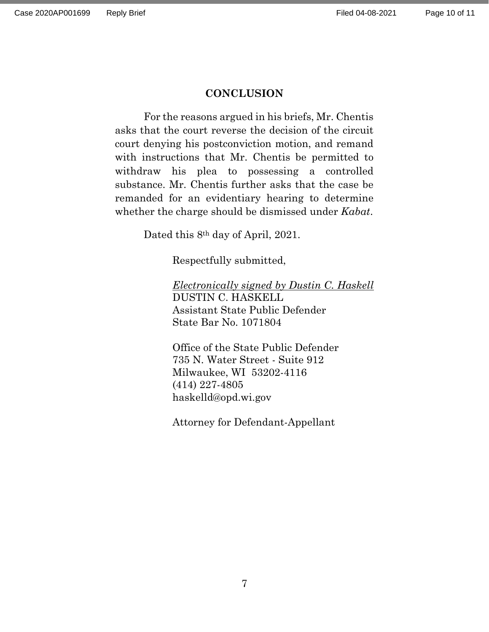#### **CONCLUSION**

For the reasons argued in his briefs, Mr. Chentis asks that the court reverse the decision of the circuit court denying his postconviction motion, and remand with instructions that Mr. Chentis be permitted to withdraw his plea to possessing a controlled substance. Mr. Chentis further asks that the case be remanded for an evidentiary hearing to determine whether the charge should be dismissed under *Kabat*.

Dated this 8<sup>th</sup> day of April, 2021.

Respectfully submitted,

*Electronically signed by Dustin C. Haskell* DUSTIN C. HASKELL Assistant State Public Defender State Bar No. 1071804

Office of the State Public Defender 735 N. Water Street - Suite 912 Milwaukee, WI 53202-4116 (414) 227-4805 haskelld@opd.wi.gov

Attorney for Defendant-Appellant